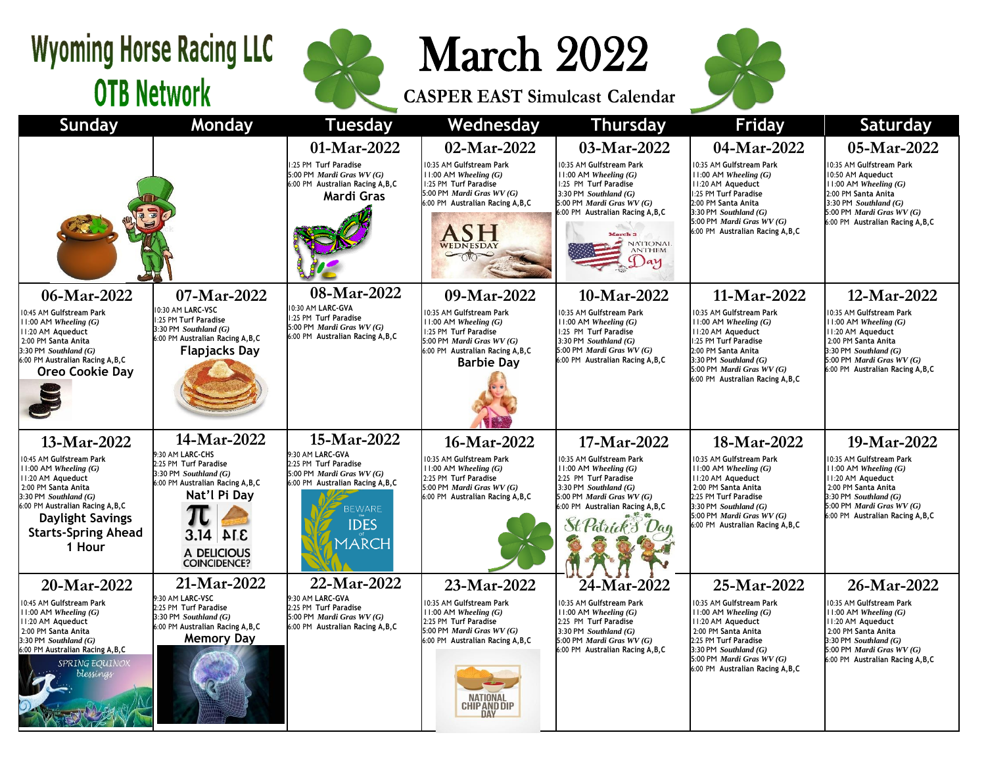## **Wyoming Horse Racing LLC OTB Network**



March 2022

**CASPER EAST Simulcast Calendar**



| <b>Sunday</b>                                                                                                                                                                                                                                         | Monday                                                                                                                                                                                    | <b>Tuesday</b>                                                                                                                                                             | Wednesday                                                                                                                                                                              | <b>Thursday</b>                                                                                                                                                                                                                                   | <b>Friday</b>                                                                                                                                                                                                                            | <b>Saturday</b>                                                                                                                                                                                               |  |
|-------------------------------------------------------------------------------------------------------------------------------------------------------------------------------------------------------------------------------------------------------|-------------------------------------------------------------------------------------------------------------------------------------------------------------------------------------------|----------------------------------------------------------------------------------------------------------------------------------------------------------------------------|----------------------------------------------------------------------------------------------------------------------------------------------------------------------------------------|---------------------------------------------------------------------------------------------------------------------------------------------------------------------------------------------------------------------------------------------------|------------------------------------------------------------------------------------------------------------------------------------------------------------------------------------------------------------------------------------------|---------------------------------------------------------------------------------------------------------------------------------------------------------------------------------------------------------------|--|
|                                                                                                                                                                                                                                                       |                                                                                                                                                                                           | 01-Mar-2022<br>1:25 PM Turf Paradise<br>5:00 PM Mardi Gras WV (G)<br>6:00 PM Australian Racing A, B, C<br>Mardi Gras                                                       | 02-Mar-2022<br>10:35 AM Gulfstream Park<br>$11:00$ AM Wheeling $(G)$<br>1:25 PM Turf Paradise<br>5:00 PM Mardi Gras WV (G)<br>6:00 PM Australian Racing A, B, C<br>WEDNESDAY           | 03-Mar-2022<br>10:35 AM Gulfstream Park<br>$11:00$ AM Wheeling $(G)$<br>1:25 PM Turf Paradise<br>3:30 PM $Southland(G)$<br>5:00 PM Mardi Gras WV (G)<br>6:00 PM Australian Racing A, B, C<br><b>March 3</b><br>NATIONAL<br><b>ANTHEM</b><br>y Jay | 04-Mar-2022<br>10:35 AM Gulfstream Park<br>$11:00$ AM Wheeling $(G)$<br>II:20 AM Aqueduct<br>1:25 PM Turf Paradise<br>2:00 PM Santa Anita<br>$3:30$ PM Southland $(G)$<br>5:00 PM Mardi Gras WV (G)<br>6:00 PM Australian Racing A, B, C | 05-Mar-2022<br>10:35 AM Gulfstream Park<br>10:50 AM Aqueduct<br>$11:00$ AM Wheeling $(G)$<br>2:00 PM Santa Anita<br>3:30 PM Southland $(G)$<br>5:00 PM Mardi Gras WV (G)<br>6:00 PM Australian Racing A, B, C |  |
| 06-Mar-2022<br>10:45 AM Gulfstream Park<br>$11:00$ AM Wheeling $(G)$<br>II:20 AM Aqueduct<br>2:00 PM Santa Anita<br>$3:30$ PM Southland $(G)$<br>6:00 PM Australian Racing A, B, C<br><b>Oreo Cookie Day</b>                                          | 07-Mar-2022<br>10:30 AM LARC-VSC<br>1:25 PM Turf Paradise<br>$3:30$ PM Southland $(G)$<br>6:00 PM Australian Racing A, B, C<br><b>Flapjacks Day</b>                                       | 08-Mar-2022<br>10:30 AM LARC-GVA<br>1:25 PM Turf Paradise<br>5:00 PM Mardi Gras WV (G)<br>6:00 PM Australian Racing A, B, C                                                | 09-Mar-2022<br>10:35 AM Gulfstream Park<br>$11:00$ AM Wheeling $(G)$<br>1:25 PM Turf Paradise<br>5:00 PM Mardi Gras WV (G)<br>6:00 PM Australian Racing A, B, C<br><b>Barbie Dav</b>   | 10-Mar-2022<br>10:35 AM Gulfstream Park<br>$11:00$ AM Wheeling $(G)$<br>1:25 PM Turf Paradise<br>3:30 PM $Southland(G)$<br>5:00 PM Mardi Gras WV (G)<br>6:00 PM Australian Racing A, B, C                                                         | 11-Mar-2022<br>10:35 AM Gulfstream Park<br>$11:00$ AM Wheeling $(G)$<br>11:20 AM Aqueduct<br>1:25 PM Turf Paradise<br>2:00 PM Santa Anita<br>3:30 PM Southland $(G)$<br>5:00 PM Mardi Gras $WV(G)$<br>6:00 PM Australian Racing A, B, C  | 12-Mar-2022<br>10:35 AM Gulfstream Park<br>$11:00$ AM Wheeling $(G)$<br>11:20 AM Aqueduct<br>2:00 PM Santa Anita<br>3:30 PM Southland $(G)$<br>5:00 PM Mardi Gras WV (G)<br>6:00 PM Australian Racing A.B.C   |  |
| 13-Mar-2022<br>10:45 AM Gulfstream Park<br>$11:00$ AM Wheeling $(G)$<br>11:20 AM Aqueduct<br>2:00 PM Santa Anita<br>$3:30$ PM Southland $(G)$<br>6:00 PM Australian Racing A, B, C<br><b>Daylight Savings</b><br><b>Starts-Spring Ahead</b><br>1 Hour | 14-Mar-2022<br>9:30 AM LARC-CHS<br>2:25 PM Turf Paradise<br>$3:30$ PM Southland $(G)$<br>6:00 PM Australian Racing A, B, C<br>Nat'l Pi Dav<br>3.14<br>3.14<br>A DELICIOUS<br>COINCIDENCE? | 15-Mar-2022<br>9:30 AM LARC-GVA<br>2:25 PM Turf Paradise<br>5:00 PM Mardi Gras WV (G)<br>6:00 PM Australian Racing A, B, C<br><b>BEWARE</b><br><b>IDES</b><br><b>MARCH</b> | 16-Mar-2022<br>10:35 AM Gulfstream Park<br>$11:00$ AM Wheeling $(G)$<br>2:25 PM Turf Paradise<br>5:00 PM Mardi Gras WV (G)<br>6:00 PM Australian Racing A, B, C                        | 17-Mar-2022<br>10:35 AM Gulfstream Park<br>$11:00$ AM Wheeling $(G)$<br>2:25 PM Turf Paradise<br>3:30 PM Southland $(G)$<br>5:00 PM Mardi Gras WV (G)<br>6:00 PM Australian Racing A, B, C                                                        | 18-Mar-2022<br>10:35 AM Gulfstream Park<br>$11:00$ AM Wheeling $(G)$<br>11:20 AM Aqueduct<br>2:00 PM Santa Anita<br>2:25 PM Turf Paradise<br>$3:30$ PM Southland $(G)$<br>5:00 PM Mardi Gras WV (G)<br>6:00 PM Australian Racing A, B, C | 19-Mar-2022<br>10:35 AM Gulfstream Park<br>$11:00$ AM Wheeling $(G)$<br>11:20 AM Aqueduct<br>2:00 PM Santa Anita<br>3:30 PM Southland $(G)$<br>5:00 PM Mardi Gras WV (G)<br>6:00 PM Australian Racing A, B, C |  |
| 20-Mar-2022<br>10:45 AM Gulfstream Park<br>$11:00$ AM Wheeling $(G)$<br>II:20 AM Aqueduct<br>2:00 PM Santa Anita<br>$3:30$ PM Southland $(G)$<br>6:00 PM Australian Racing A, B, C<br><b>SPRING EQUINOX</b><br>blessings                              | 21-Mar-2022<br>9:30 AM LARC-VSC<br>2:25 PM Turf Paradise<br>$3:30$ PM Southland $(G)$<br>6:00 PM Australian Racing A, B, C<br><b>Memory Day</b>                                           | 22-Mar-2022<br>9:30 AM LARC-GVA<br>2:25 PM Turf Paradise<br>5:00 PM Mardi Gras WV (G)<br>6:00 PM Australian Racing A, B, C                                                 | 23-Mar-2022<br>10:35 AM Gulfstream Park<br>$11:00$ AM Wheeling $(G)$<br>2:25 PM Turf Paradise<br>5:00 PM Mardi Gras WV (G)<br>6:00 PM Australian Racing A, B, C<br><b>CHIP AND DIP</b> | 24-Mar-2022<br>10:35 AM Gulfstream Park<br>$11:00$ AM Wheeling $(G)$<br>2:25 PM Turf Paradise<br>3:30 PM $Southland(G)$<br>5:00 PM Mardi Gras WV (G)<br>6:00 PM Australian Racing A, B, C                                                         | 25-Mar-2022<br>10:35 AM Gulfstream Park<br>$11:00$ AM Wheeling $(G)$<br>II:20 AM Aqueduct<br>2:00 PM Santa Anita<br>2:25 PM Turf Paradise<br>3:30 PM Southland $(G)$<br>5:00 PM Mardi Gras WV (G)<br>6:00 PM Australian Racing A, B, C   | 26-Mar-2022<br>10:35 AM Gulfstream Park<br>$11:00$ AM Wheeling $(G)$<br>II:20 AM Aqueduct<br>2:00 PM Santa Anita<br>3:30 PM Southland $(G)$<br>5:00 PM Mardi Gras WV (G)<br>6:00 PM Australian Racing A, B, C |  |